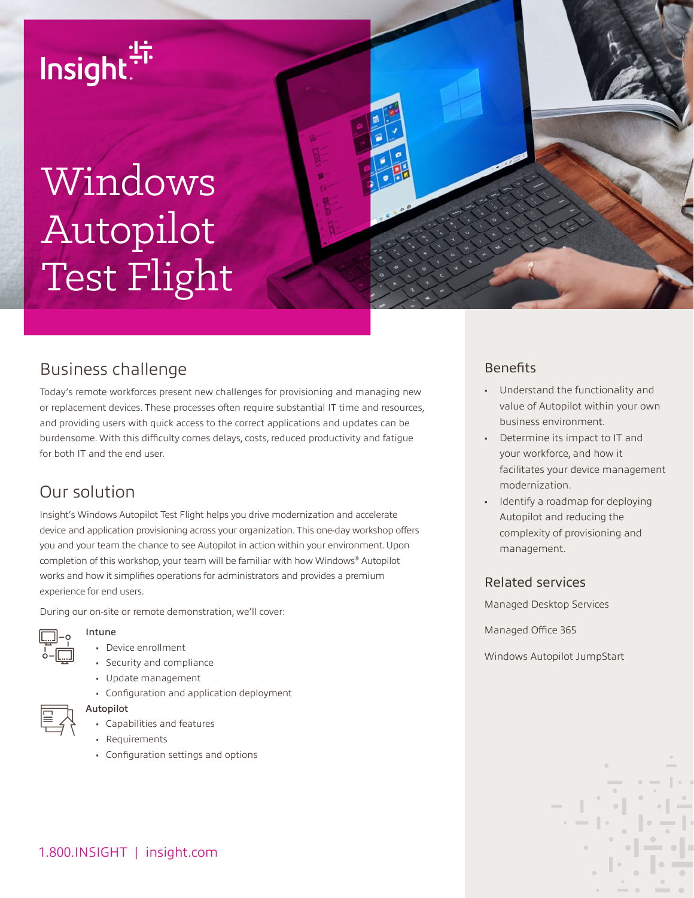

# Windows Autopilot Test Flight



Today's remote workforces present new challenges for provisioning and managing new or replacement devices. These processes often require substantial IT time and resources, and providing users with quick access to the correct applications and updates can be burdensome. With this difficulty comes delays, costs, reduced productivity and fatigue for both IT and the end user.

## Our solution

Insight's Windows Autopilot Test Flight helps you drive modernization and accelerate device and application provisioning across your organization. This one-day workshop offers you and your team the chance to see Autopilot in action within your environment. Upon completion of this workshop, your team will be familiar with how Windows® Autopilot works and how it simplifies operations for administrators and provides a premium experience for end users.

During our on-site or remote demonstration, we'll cover:

### Intune

- Device enrollment
- Security and compliance
- Update management
- Configuration and application deployment



- Capabilities and features
- Requirements

Autopilot

• Configuration settings and options

## **Benefits**

- Understand the functionality and value of Autopilot within your own business environment.
- Determine its impact to IT and your workforce, and how it facilitates your device management modernization.
- Identify a roadmap for deploying Autopilot and reducing the complexity of provisioning and management.

#### Related services

Managed Desktop Services

Managed Office 365

Windows Autopilot JumpStart

1.800.INSIGHT | insight.com